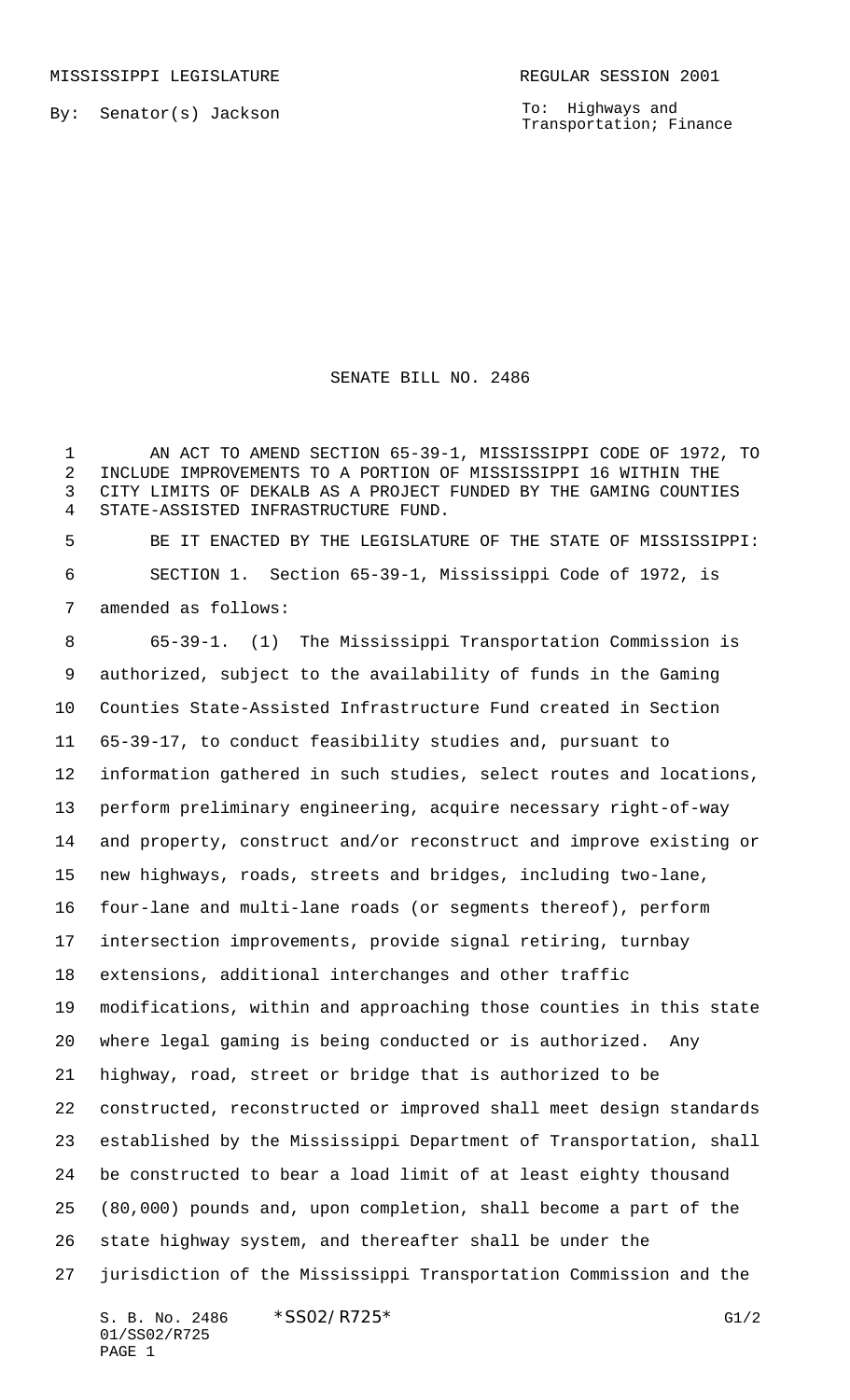To: Highways and Transportation; Finance

## SENATE BILL NO. 2486

 AN ACT TO AMEND SECTION 65-39-1, MISSISSIPPI CODE OF 1972, TO INCLUDE IMPROVEMENTS TO A PORTION OF MISSISSIPPI 16 WITHIN THE CITY LIMITS OF DEKALB AS A PROJECT FUNDED BY THE GAMING COUNTIES STATE-ASSISTED INFRASTRUCTURE FUND.

 BE IT ENACTED BY THE LEGISLATURE OF THE STATE OF MISSISSIPPI: SECTION 1. Section 65-39-1, Mississippi Code of 1972, is amended as follows:

 65-39-1. (1) The Mississippi Transportation Commission is authorized, subject to the availability of funds in the Gaming Counties State-Assisted Infrastructure Fund created in Section 65-39-17, to conduct feasibility studies and, pursuant to information gathered in such studies, select routes and locations, perform preliminary engineering, acquire necessary right-of-way and property, construct and/or reconstruct and improve existing or new highways, roads, streets and bridges, including two-lane, four-lane and multi-lane roads (or segments thereof), perform intersection improvements, provide signal retiring, turnbay extensions, additional interchanges and other traffic modifications, within and approaching those counties in this state where legal gaming is being conducted or is authorized. Any highway, road, street or bridge that is authorized to be constructed, reconstructed or improved shall meet design standards established by the Mississippi Department of Transportation, shall be constructed to bear a load limit of at least eighty thousand (80,000) pounds and, upon completion, shall become a part of the state highway system, and thereafter shall be under the jurisdiction of the Mississippi Transportation Commission and the

S. B. No. 2486 \* SSO2/R725\* G1/2 01/SS02/R725 PAGE 1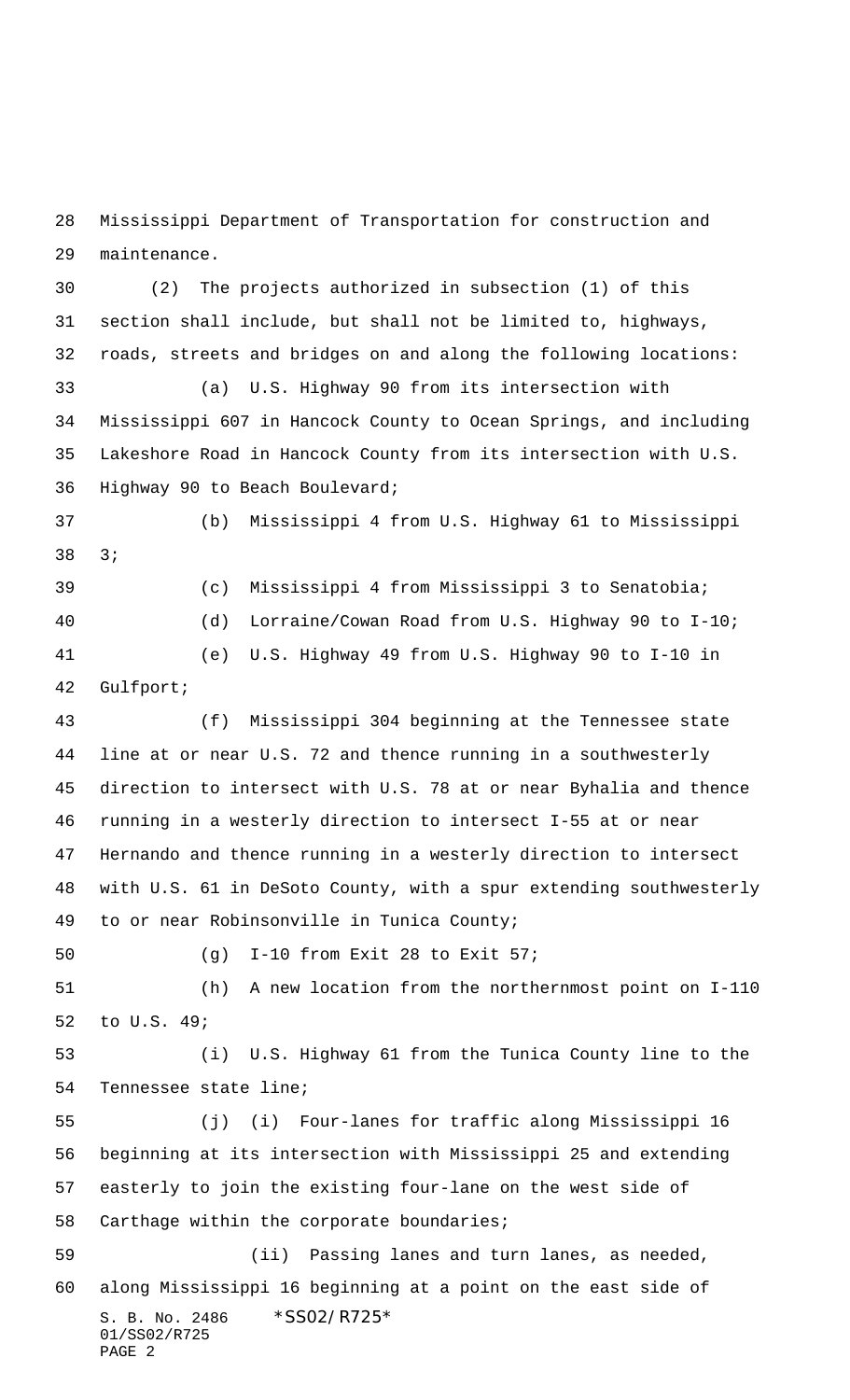Mississippi Department of Transportation for construction and maintenance.

 (2) The projects authorized in subsection (1) of this section shall include, but shall not be limited to, highways, roads, streets and bridges on and along the following locations: (a) U.S. Highway 90 from its intersection with Mississippi 607 in Hancock County to Ocean Springs, and including Lakeshore Road in Hancock County from its intersection with U.S. Highway 90 to Beach Boulevard; (b) Mississippi 4 from U.S. Highway 61 to Mississippi 3; (c) Mississippi 4 from Mississippi 3 to Senatobia; (d) Lorraine/Cowan Road from U.S. Highway 90 to I-10; (e) U.S. Highway 49 from U.S. Highway 90 to I-10 in Gulfport; (f) Mississippi 304 beginning at the Tennessee state line at or near U.S. 72 and thence running in a southwesterly direction to intersect with U.S. 78 at or near Byhalia and thence running in a westerly direction to intersect I-55 at or near

 Hernando and thence running in a westerly direction to intersect with U.S. 61 in DeSoto County, with a spur extending southwesterly to or near Robinsonville in Tunica County;

(g) I-10 from Exit 28 to Exit 57;

 (h) A new location from the northernmost point on I-110 to U.S. 49;

 (i) U.S. Highway 61 from the Tunica County line to the Tennessee state line;

 (j) (i) Four-lanes for traffic along Mississippi 16 beginning at its intersection with Mississippi 25 and extending easterly to join the existing four-lane on the west side of Carthage within the corporate boundaries;

S. B. No. 2486 \*SS02/R725\* 01/SS02/R725 PAGE 2 (ii) Passing lanes and turn lanes, as needed, along Mississippi 16 beginning at a point on the east side of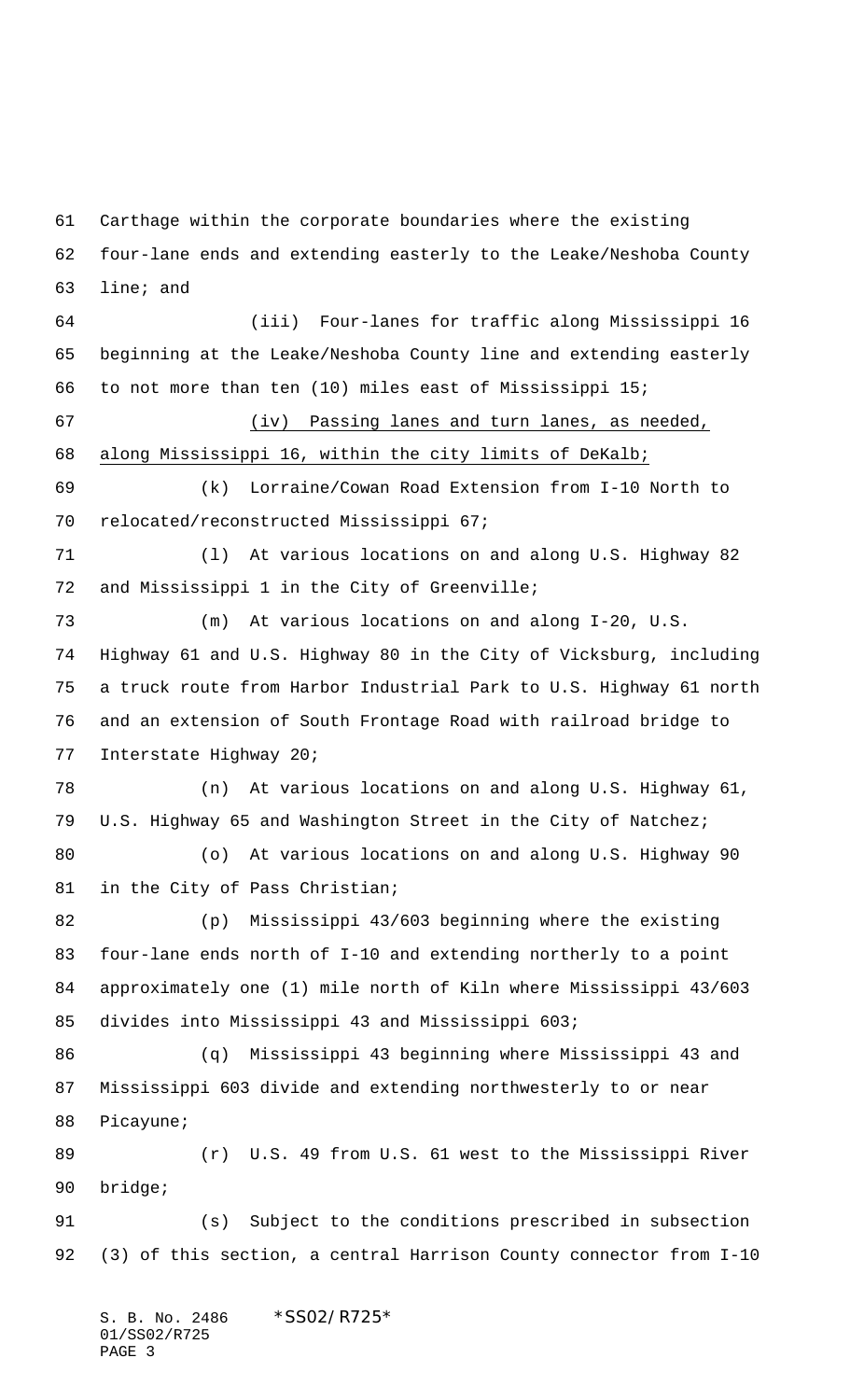Carthage within the corporate boundaries where the existing four-lane ends and extending easterly to the Leake/Neshoba County line; and (iii) Four-lanes for traffic along Mississippi 16 beginning at the Leake/Neshoba County line and extending easterly to not more than ten (10) miles east of Mississippi 15; (iv) Passing lanes and turn lanes, as needed, along Mississippi 16, within the city limits of DeKalb; (k) Lorraine/Cowan Road Extension from I-10 North to relocated/reconstructed Mississippi 67; (l) At various locations on and along U.S. Highway 82 and Mississippi 1 in the City of Greenville; (m) At various locations on and along I-20, U.S. Highway 61 and U.S. Highway 80 in the City of Vicksburg, including a truck route from Harbor Industrial Park to U.S. Highway 61 north and an extension of South Frontage Road with railroad bridge to Interstate Highway 20; (n) At various locations on and along U.S. Highway 61, U.S. Highway 65 and Washington Street in the City of Natchez; (o) At various locations on and along U.S. Highway 90 in the City of Pass Christian; (p) Mississippi 43/603 beginning where the existing four-lane ends north of I-10 and extending northerly to a point approximately one (1) mile north of Kiln where Mississippi 43/603 divides into Mississippi 43 and Mississippi 603; (q) Mississippi 43 beginning where Mississippi 43 and Mississippi 603 divide and extending northwesterly to or near Picayune; (r) U.S. 49 from U.S. 61 west to the Mississippi River bridge; (s) Subject to the conditions prescribed in subsection (3) of this section, a central Harrison County connector from I-10

S. B. No. 2486 \* SS02/R725\* 01/SS02/R725 PAGE 3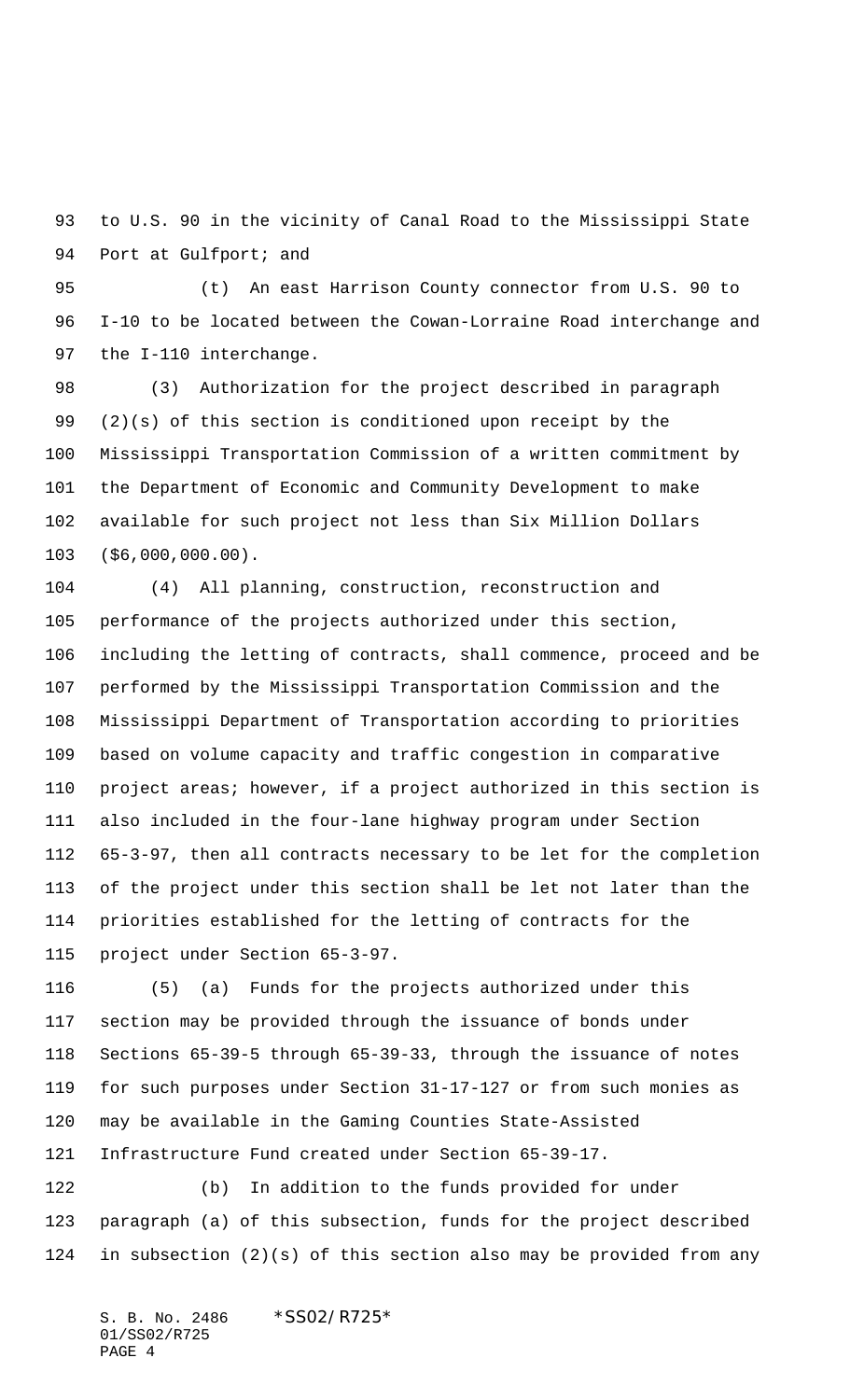to U.S. 90 in the vicinity of Canal Road to the Mississippi State 94 Port at Gulfport; and

 (t) An east Harrison County connector from U.S. 90 to I-10 to be located between the Cowan-Lorraine Road interchange and the I-110 interchange.

 (3) Authorization for the project described in paragraph (2)(s) of this section is conditioned upon receipt by the Mississippi Transportation Commission of a written commitment by the Department of Economic and Community Development to make available for such project not less than Six Million Dollars (\$6,000,000.00).

 (4) All planning, construction, reconstruction and performance of the projects authorized under this section, including the letting of contracts, shall commence, proceed and be performed by the Mississippi Transportation Commission and the Mississippi Department of Transportation according to priorities based on volume capacity and traffic congestion in comparative project areas; however, if a project authorized in this section is also included in the four-lane highway program under Section 65-3-97, then all contracts necessary to be let for the completion of the project under this section shall be let not later than the priorities established for the letting of contracts for the project under Section 65-3-97.

 (5) (a) Funds for the projects authorized under this section may be provided through the issuance of bonds under Sections 65-39-5 through 65-39-33, through the issuance of notes for such purposes under Section 31-17-127 or from such monies as may be available in the Gaming Counties State-Assisted Infrastructure Fund created under Section 65-39-17.

 (b) In addition to the funds provided for under paragraph (a) of this subsection, funds for the project described in subsection (2)(s) of this section also may be provided from any